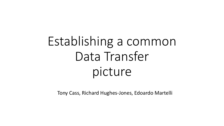# Establishing a common Data Transfer picture

Tony Cass, Richard Hughes-Jones, Edoardo Martelli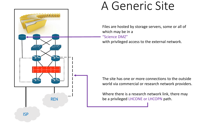

## A Generic Site

Files are hosted by storage servers, some or all of which may be in a "Science DMZ" with privileged access to the external network.

The site has one or more connections to the outside world via commercial or research network providers.

Where there is a research network link, there may be a privileged LHCONE or LHCOPN path.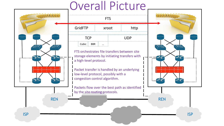## Overall Picture

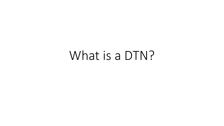## What is a DTN?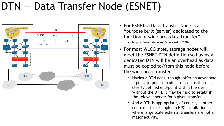### DTN — Data Transfer Node (ESNET)



- For ESNET, a Data Transfer Node is a "purpose built [server] dedicated to the function of wide area data transfer"
	- https://fasterdata.es.net/science-dmz/DTN/
- For most WLCG sites, storage nodes will meet the ESNET DTN definition so having a dedicated DTN will be an overhead as data must be copied to/from this node before the wide area transfer.
	- Having a DTN does, though, offer an advantage if point-to-point circuits are used as there is a clearly defined end-point within the site. Without the DTN, it may be hard to establish the relevant server for a given transfer.
	- And a DTN is appropriate, of course, in other contexts, for example an HPC installation where large scale external transfers are not a major activity.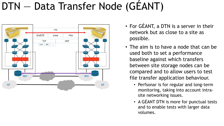## DTN — Data Transfer Node (GÉANT)



- For GÉANT, a DTN is a server in their network but as close to a site as possible.
- The aim is to have a node that can be used both to set a performance baseline against which transfers between site storage nodes can be compared and to allow users to test file transfer application behaviour.
	- Perfsonar is for regular and long-term monitoring, taking into account intrasite networking issues.
	- A GÉANT DTN is more for punctual tests and to enable tests with larger data volumes.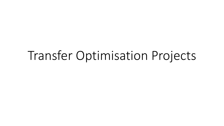## Transfer Optimisation Projects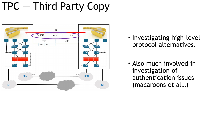## TPC — Third Party Copy



- Investigating high-level protocol alternatives.
- Also much involved in investigation of authentication issues (macaroons et al…)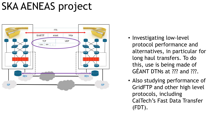## SKA AENEAS project



- Investigating low-level protocol performance and alternatives, in particular for long haul transfers. To do this, use is being made of GÉANT DTNs at ??? and ???.
- Also studying performance of GridFTP and other high level protocols, including CalTech's Fast Data Transfer (FDT).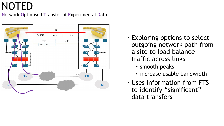#### NOTED

**N**etwork **O**ptimised **T**ransfer of **E**xperimental **D**ata



- Exploring options to select outgoing network path from a site to load balance traffic across links
	- smooth peaks
	- increase usable bandwidth
- Uses information from FTS to identify "significant" data transfers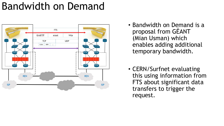## Bandwidth on Demand



- Bandwidth on Demand is a proposal from GÉANT (Mian Usman) which enables adding additional temporary bandwidth.
- CERN/Surfnet evaluating this using information from FTS about significant data transfers to trigger the request.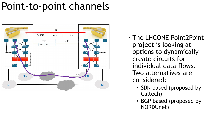## Point-to-point channels



- The LHCONE Point2Point project is looking at options to dynamically create circuits for individual data flows. Two alternatives are considered:
	- SDN based (proposed by Caltech)
	- BGP based (proposed by NORDUnet)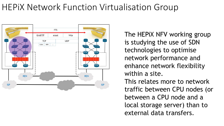#### HEPiX Network Function Virtualisation Group



The HEPiX NFV working group is studying the use of SDN technologies to optimise network performance and enhance network flexibility within a site. This relates more to network traffic between CPU nodes (or between a CPU node and a local storage server) than to external data transfers.